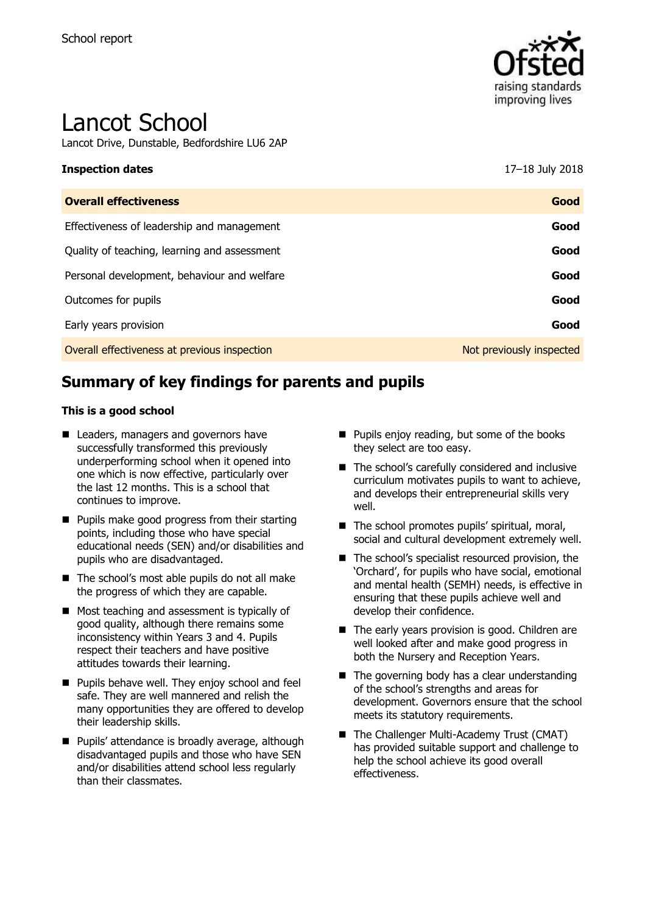

# Lancot School

Lancot Drive, Dunstable, Bedfordshire LU6 2AP

#### **Inspection dates** 17–18 July 2018

| <b>Overall effectiveness</b>                 | Good                     |
|----------------------------------------------|--------------------------|
| Effectiveness of leadership and management   | Good                     |
| Quality of teaching, learning and assessment | Good                     |
| Personal development, behaviour and welfare  | Good                     |
| Outcomes for pupils                          | Good                     |
| Early years provision                        | Good                     |
| Overall effectiveness at previous inspection | Not previously inspected |

# **Summary of key findings for parents and pupils**

#### **This is a good school**

- Leaders, managers and governors have successfully transformed this previously underperforming school when it opened into one which is now effective, particularly over the last 12 months. This is a school that continues to improve.
- **Pupils make good progress from their starting** points, including those who have special educational needs (SEN) and/or disabilities and pupils who are disadvantaged.
- The school's most able pupils do not all make the progress of which they are capable.
- Most teaching and assessment is typically of good quality, although there remains some inconsistency within Years 3 and 4. Pupils respect their teachers and have positive attitudes towards their learning.
- **Pupils behave well. They enjoy school and feel** safe. They are well mannered and relish the many opportunities they are offered to develop their leadership skills.
- **Pupils' attendance is broadly average, although** disadvantaged pupils and those who have SEN and/or disabilities attend school less regularly than their classmates.
- **Pupils enjoy reading, but some of the books** they select are too easy.
- The school's carefully considered and inclusive curriculum motivates pupils to want to achieve, and develops their entrepreneurial skills very well.
- The school promotes pupils' spiritual, moral, social and cultural development extremely well.
- The school's specialist resourced provision, the 'Orchard', for pupils who have social, emotional and mental health (SEMH) needs, is effective in ensuring that these pupils achieve well and develop their confidence.
- The early years provision is good. Children are well looked after and make good progress in both the Nursery and Reception Years.
- $\blacksquare$  The governing body has a clear understanding of the school's strengths and areas for development. Governors ensure that the school meets its statutory requirements.
- The Challenger Multi-Academy Trust (CMAT) has provided suitable support and challenge to help the school achieve its good overall effectiveness.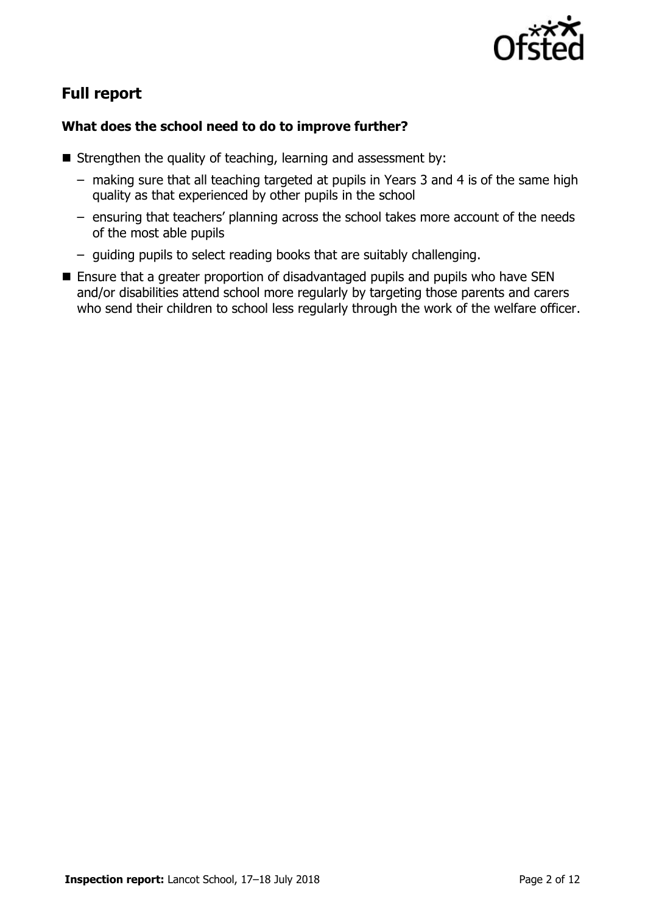

# **Full report**

### **What does the school need to do to improve further?**

- Strengthen the quality of teaching, learning and assessment by:
	- making sure that all teaching targeted at pupils in Years 3 and 4 is of the same high quality as that experienced by other pupils in the school
	- ensuring that teachers' planning across the school takes more account of the needs of the most able pupils
	- guiding pupils to select reading books that are suitably challenging.
- Ensure that a greater proportion of disadvantaged pupils and pupils who have SEN and/or disabilities attend school more regularly by targeting those parents and carers who send their children to school less regularly through the work of the welfare officer.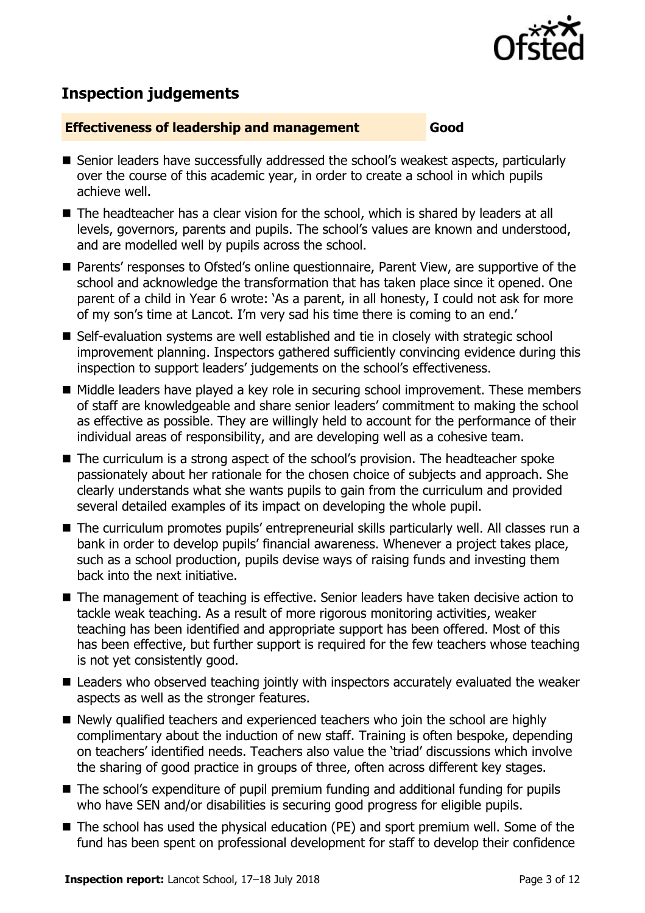

# **Inspection judgements**

#### **Effectiveness of leadership and management Good**

- Senior leaders have successfully addressed the school's weakest aspects, particularly over the course of this academic year, in order to create a school in which pupils achieve well.
- The headteacher has a clear vision for the school, which is shared by leaders at all levels, governors, parents and pupils. The school's values are known and understood, and are modelled well by pupils across the school.
- Parents' responses to Ofsted's online questionnaire, Parent View, are supportive of the school and acknowledge the transformation that has taken place since it opened. One parent of a child in Year 6 wrote: 'As a parent, in all honesty, I could not ask for more of my son's time at Lancot. I'm very sad his time there is coming to an end.'
- Self-evaluation systems are well established and tie in closely with strategic school improvement planning. Inspectors gathered sufficiently convincing evidence during this inspection to support leaders' judgements on the school's effectiveness.
- Middle leaders have played a key role in securing school improvement. These members of staff are knowledgeable and share senior leaders' commitment to making the school as effective as possible. They are willingly held to account for the performance of their individual areas of responsibility, and are developing well as a cohesive team.
- The curriculum is a strong aspect of the school's provision. The headteacher spoke passionately about her rationale for the chosen choice of subjects and approach. She clearly understands what she wants pupils to gain from the curriculum and provided several detailed examples of its impact on developing the whole pupil.
- The curriculum promotes pupils' entrepreneurial skills particularly well. All classes run a bank in order to develop pupils' financial awareness. Whenever a project takes place, such as a school production, pupils devise ways of raising funds and investing them back into the next initiative.
- The management of teaching is effective. Senior leaders have taken decisive action to tackle weak teaching. As a result of more rigorous monitoring activities, weaker teaching has been identified and appropriate support has been offered. Most of this has been effective, but further support is required for the few teachers whose teaching is not yet consistently good.
- Leaders who observed teaching jointly with inspectors accurately evaluated the weaker aspects as well as the stronger features.
- Newly qualified teachers and experienced teachers who join the school are highly complimentary about the induction of new staff. Training is often bespoke, depending on teachers' identified needs. Teachers also value the 'triad' discussions which involve the sharing of good practice in groups of three, often across different key stages.
- The school's expenditure of pupil premium funding and additional funding for pupils who have SEN and/or disabilities is securing good progress for eligible pupils.
- The school has used the physical education (PE) and sport premium well. Some of the fund has been spent on professional development for staff to develop their confidence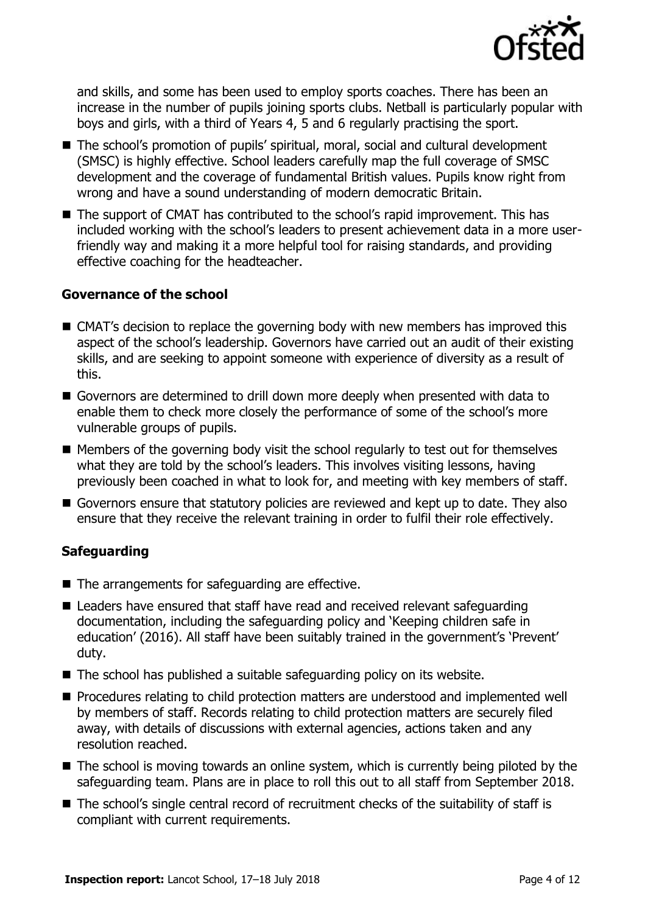

and skills, and some has been used to employ sports coaches. There has been an increase in the number of pupils joining sports clubs. Netball is particularly popular with boys and girls, with a third of Years 4, 5 and 6 regularly practising the sport.

- The school's promotion of pupils' spiritual, moral, social and cultural development (SMSC) is highly effective. School leaders carefully map the full coverage of SMSC development and the coverage of fundamental British values. Pupils know right from wrong and have a sound understanding of modern democratic Britain.
- The support of CMAT has contributed to the school's rapid improvement. This has included working with the school's leaders to present achievement data in a more userfriendly way and making it a more helpful tool for raising standards, and providing effective coaching for the headteacher.

#### **Governance of the school**

- CMAT's decision to replace the governing body with new members has improved this aspect of the school's leadership. Governors have carried out an audit of their existing skills, and are seeking to appoint someone with experience of diversity as a result of this.
- Governors are determined to drill down more deeply when presented with data to enable them to check more closely the performance of some of the school's more vulnerable groups of pupils.
- $\blacksquare$  Members of the governing body visit the school regularly to test out for themselves what they are told by the school's leaders. This involves visiting lessons, having previously been coached in what to look for, and meeting with key members of staff.
- Governors ensure that statutory policies are reviewed and kept up to date. They also ensure that they receive the relevant training in order to fulfil their role effectively.

#### **Safeguarding**

- The arrangements for safeguarding are effective.
- Leaders have ensured that staff have read and received relevant safeguarding documentation, including the safeguarding policy and 'Keeping children safe in education' (2016). All staff have been suitably trained in the government's 'Prevent' duty.
- $\blacksquare$  The school has published a suitable safeguarding policy on its website.
- **Procedures relating to child protection matters are understood and implemented well** by members of staff. Records relating to child protection matters are securely filed away, with details of discussions with external agencies, actions taken and any resolution reached.
- The school is moving towards an online system, which is currently being piloted by the safeguarding team. Plans are in place to roll this out to all staff from September 2018.
- The school's single central record of recruitment checks of the suitability of staff is compliant with current requirements.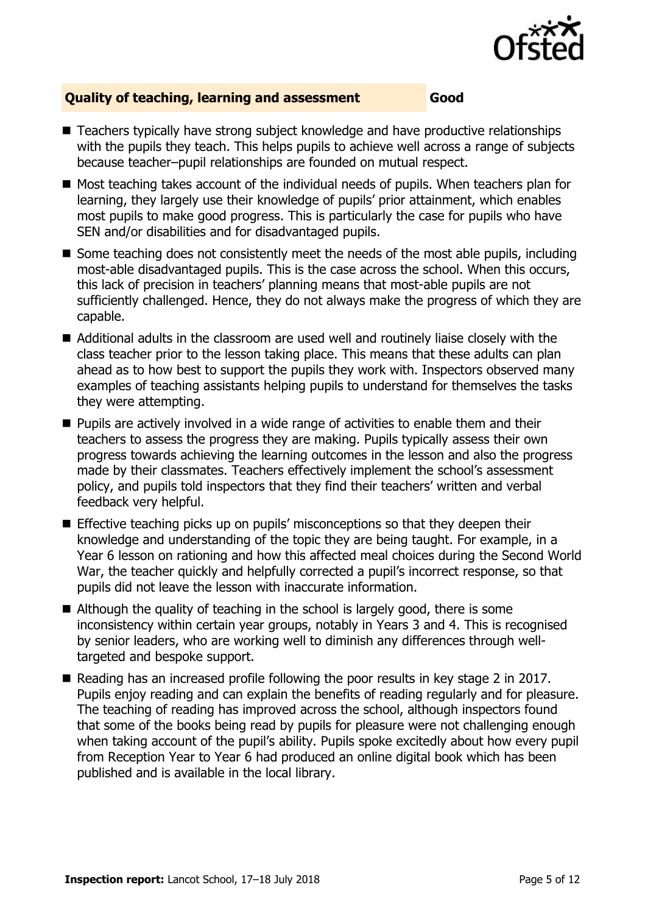

#### **Quality of teaching, learning and assessment Good**

- Teachers typically have strong subject knowledge and have productive relationships with the pupils they teach. This helps pupils to achieve well across a range of subjects because teacher–pupil relationships are founded on mutual respect.
- $\blacksquare$  Most teaching takes account of the individual needs of pupils. When teachers plan for learning, they largely use their knowledge of pupils' prior attainment, which enables most pupils to make good progress. This is particularly the case for pupils who have SEN and/or disabilities and for disadvantaged pupils.
- Some teaching does not consistently meet the needs of the most able pupils, including most-able disadvantaged pupils. This is the case across the school. When this occurs, this lack of precision in teachers' planning means that most-able pupils are not sufficiently challenged. Hence, they do not always make the progress of which they are capable.
- Additional adults in the classroom are used well and routinely liaise closely with the class teacher prior to the lesson taking place. This means that these adults can plan ahead as to how best to support the pupils they work with. Inspectors observed many examples of teaching assistants helping pupils to understand for themselves the tasks they were attempting.
- $\blacksquare$  Pupils are actively involved in a wide range of activities to enable them and their teachers to assess the progress they are making. Pupils typically assess their own progress towards achieving the learning outcomes in the lesson and also the progress made by their classmates. Teachers effectively implement the school's assessment policy, and pupils told inspectors that they find their teachers' written and verbal feedback very helpful.
- **Effective teaching picks up on pupils' misconceptions so that they deepen their** knowledge and understanding of the topic they are being taught. For example, in a Year 6 lesson on rationing and how this affected meal choices during the Second World War, the teacher quickly and helpfully corrected a pupil's incorrect response, so that pupils did not leave the lesson with inaccurate information.
- Although the quality of teaching in the school is largely good, there is some inconsistency within certain year groups, notably in Years 3 and 4. This is recognised by senior leaders, who are working well to diminish any differences through welltargeted and bespoke support.
- Reading has an increased profile following the poor results in key stage 2 in 2017. Pupils enjoy reading and can explain the benefits of reading regularly and for pleasure. The teaching of reading has improved across the school, although inspectors found that some of the books being read by pupils for pleasure were not challenging enough when taking account of the pupil's ability. Pupils spoke excitedly about how every pupil from Reception Year to Year 6 had produced an online digital book which has been published and is available in the local library.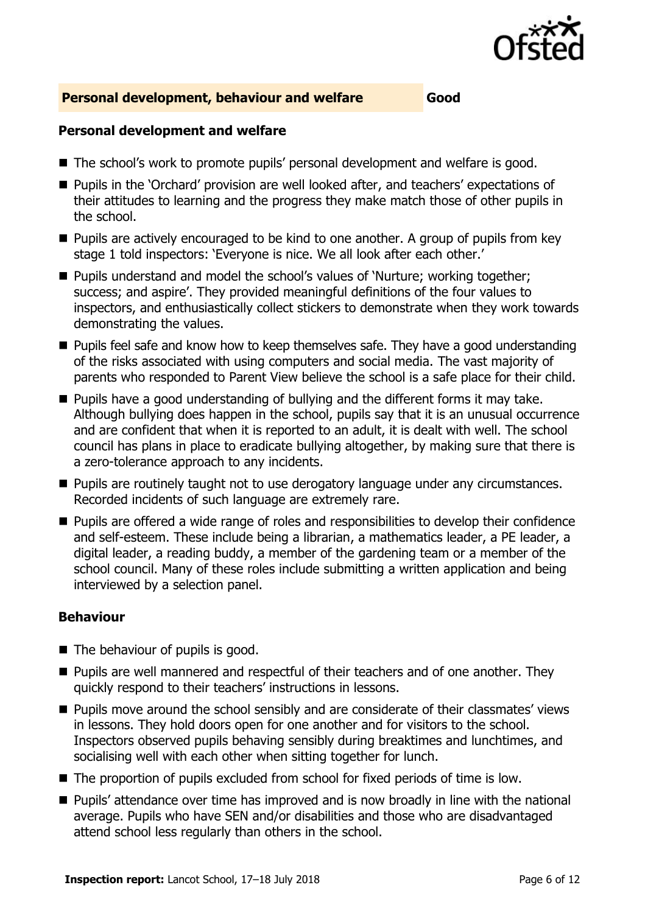

#### **Personal development, behaviour and welfare Good**

#### **Personal development and welfare**

- The school's work to promote pupils' personal development and welfare is good.
- **Pupils in the 'Orchard' provision are well looked after, and teachers' expectations of** their attitudes to learning and the progress they make match those of other pupils in the school.
- **Pupils are actively encouraged to be kind to one another. A group of pupils from key** stage 1 told inspectors: 'Everyone is nice. We all look after each other.'
- Pupils understand and model the school's values of 'Nurture; working together; success; and aspire'. They provided meaningful definitions of the four values to inspectors, and enthusiastically collect stickers to demonstrate when they work towards demonstrating the values.
- **Pupils feel safe and know how to keep themselves safe. They have a good understanding** of the risks associated with using computers and social media. The vast majority of parents who responded to Parent View believe the school is a safe place for their child.
- $\blacksquare$  Pupils have a good understanding of bullying and the different forms it may take. Although bullying does happen in the school, pupils say that it is an unusual occurrence and are confident that when it is reported to an adult, it is dealt with well. The school council has plans in place to eradicate bullying altogether, by making sure that there is a zero-tolerance approach to any incidents.
- **Pupils are routinely taught not to use derogatory language under any circumstances.** Recorded incidents of such language are extremely rare.
- **Pupils are offered a wide range of roles and responsibilities to develop their confidence** and self-esteem. These include being a librarian, a mathematics leader, a PE leader, a digital leader, a reading buddy, a member of the gardening team or a member of the school council. Many of these roles include submitting a written application and being interviewed by a selection panel.

#### **Behaviour**

- The behaviour of pupils is good.
- **Pupils are well mannered and respectful of their teachers and of one another. They** quickly respond to their teachers' instructions in lessons.
- **Pupils move around the school sensibly and are considerate of their classmates' views** in lessons. They hold doors open for one another and for visitors to the school. Inspectors observed pupils behaving sensibly during breaktimes and lunchtimes, and socialising well with each other when sitting together for lunch.
- The proportion of pupils excluded from school for fixed periods of time is low.
- **Pupils' attendance over time has improved and is now broadly in line with the national** average. Pupils who have SEN and/or disabilities and those who are disadvantaged attend school less regularly than others in the school.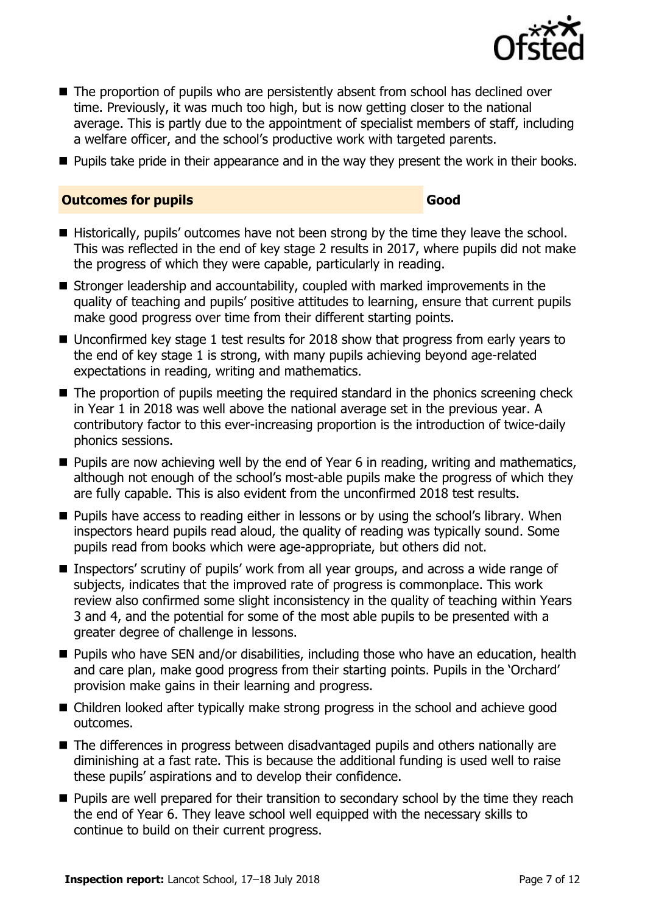

- The proportion of pupils who are persistently absent from school has declined over time. Previously, it was much too high, but is now getting closer to the national average. This is partly due to the appointment of specialist members of staff, including a welfare officer, and the school's productive work with targeted parents.
- **Pupils take pride in their appearance and in the way they present the work in their books.**

#### **Outcomes for pupils Good**

- Historically, pupils' outcomes have not been strong by the time they leave the school. This was reflected in the end of key stage 2 results in 2017, where pupils did not make the progress of which they were capable, particularly in reading.
- Stronger leadership and accountability, coupled with marked improvements in the quality of teaching and pupils' positive attitudes to learning, ensure that current pupils make good progress over time from their different starting points.
- Unconfirmed key stage 1 test results for 2018 show that progress from early years to the end of key stage 1 is strong, with many pupils achieving beyond age-related expectations in reading, writing and mathematics.
- The proportion of pupils meeting the required standard in the phonics screening check in Year 1 in 2018 was well above the national average set in the previous year. A contributory factor to this ever-increasing proportion is the introduction of twice-daily phonics sessions.
- $\blacksquare$  Pupils are now achieving well by the end of Year 6 in reading, writing and mathematics, although not enough of the school's most-able pupils make the progress of which they are fully capable. This is also evident from the unconfirmed 2018 test results.
- **Pupils have access to reading either in lessons or by using the school's library. When** inspectors heard pupils read aloud, the quality of reading was typically sound. Some pupils read from books which were age-appropriate, but others did not.
- Inspectors' scrutiny of pupils' work from all year groups, and across a wide range of subjects, indicates that the improved rate of progress is commonplace. This work review also confirmed some slight inconsistency in the quality of teaching within Years 3 and 4, and the potential for some of the most able pupils to be presented with a greater degree of challenge in lessons.
- Pupils who have SEN and/or disabilities, including those who have an education, health and care plan, make good progress from their starting points. Pupils in the 'Orchard' provision make gains in their learning and progress.
- Children looked after typically make strong progress in the school and achieve good outcomes.
- The differences in progress between disadvantaged pupils and others nationally are diminishing at a fast rate. This is because the additional funding is used well to raise these pupils' aspirations and to develop their confidence.
- **Pupils are well prepared for their transition to secondary school by the time they reach** the end of Year 6. They leave school well equipped with the necessary skills to continue to build on their current progress.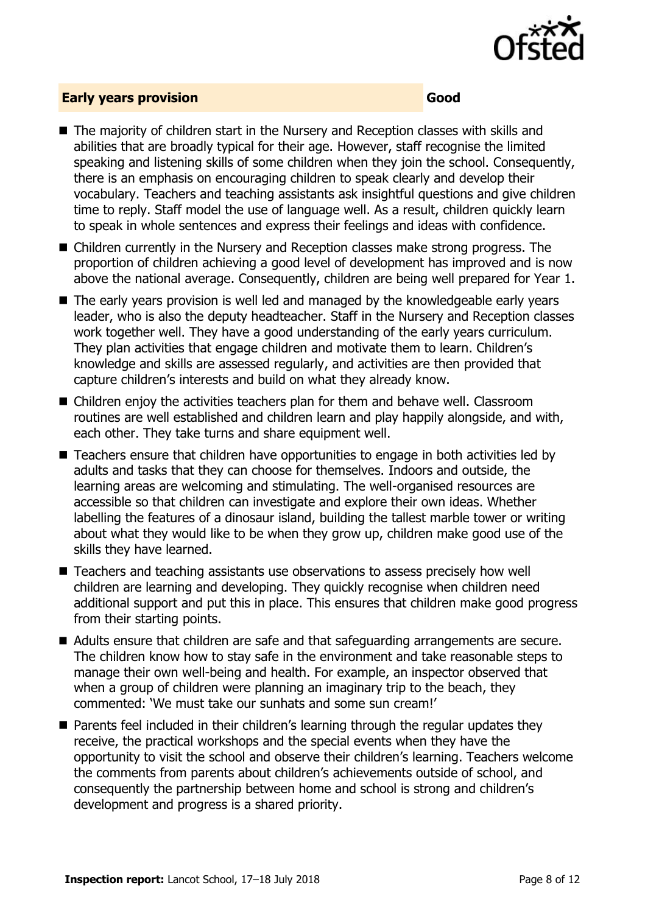

#### **Early years provision Good**

- The majority of children start in the Nursery and Reception classes with skills and abilities that are broadly typical for their age. However, staff recognise the limited speaking and listening skills of some children when they join the school. Consequently, there is an emphasis on encouraging children to speak clearly and develop their vocabulary. Teachers and teaching assistants ask insightful questions and give children time to reply. Staff model the use of language well. As a result, children quickly learn to speak in whole sentences and express their feelings and ideas with confidence.
- Children currently in the Nursery and Reception classes make strong progress. The proportion of children achieving a good level of development has improved and is now above the national average. Consequently, children are being well prepared for Year 1.
- The early years provision is well led and managed by the knowledgeable early years leader, who is also the deputy headteacher. Staff in the Nursery and Reception classes work together well. They have a good understanding of the early years curriculum. They plan activities that engage children and motivate them to learn. Children's knowledge and skills are assessed regularly, and activities are then provided that capture children's interests and build on what they already know.
- Children enjoy the activities teachers plan for them and behave well. Classroom routines are well established and children learn and play happily alongside, and with, each other. They take turns and share equipment well.
- Teachers ensure that children have opportunities to engage in both activities led by adults and tasks that they can choose for themselves. Indoors and outside, the learning areas are welcoming and stimulating. The well-organised resources are accessible so that children can investigate and explore their own ideas. Whether labelling the features of a dinosaur island, building the tallest marble tower or writing about what they would like to be when they grow up, children make good use of the skills they have learned.
- Teachers and teaching assistants use observations to assess precisely how well children are learning and developing. They quickly recognise when children need additional support and put this in place. This ensures that children make good progress from their starting points.
- Adults ensure that children are safe and that safeguarding arrangements are secure. The children know how to stay safe in the environment and take reasonable steps to manage their own well-being and health. For example, an inspector observed that when a group of children were planning an imaginary trip to the beach, they commented: 'We must take our sunhats and some sun cream!'
- Parents feel included in their children's learning through the regular updates they receive, the practical workshops and the special events when they have the opportunity to visit the school and observe their children's learning. Teachers welcome the comments from parents about children's achievements outside of school, and consequently the partnership between home and school is strong and children's development and progress is a shared priority.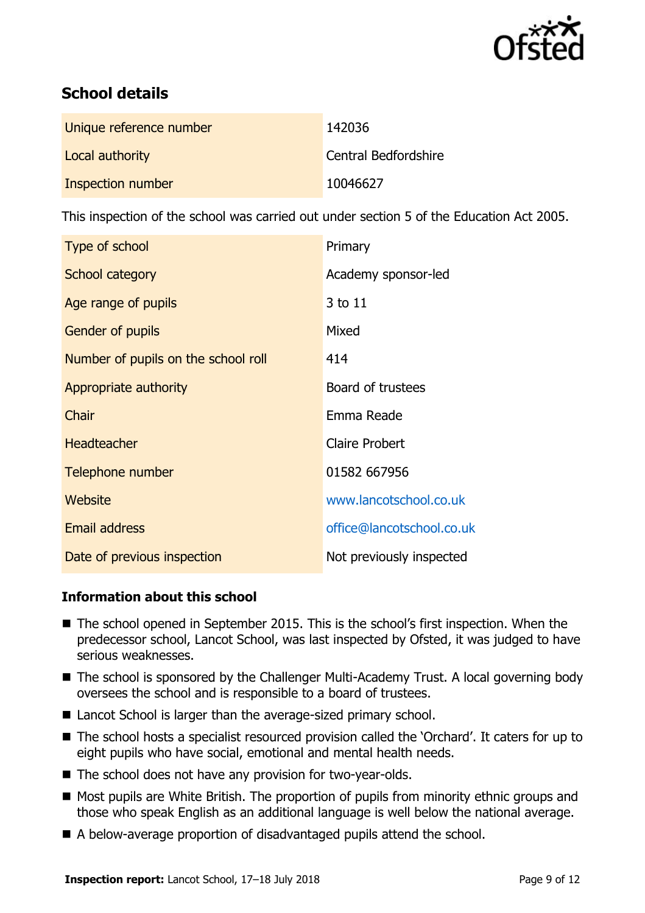

# **School details**

| Unique reference number | 142036               |
|-------------------------|----------------------|
| Local authority         | Central Bedfordshire |
| Inspection number       | 10046627             |

This inspection of the school was carried out under section 5 of the Education Act 2005.

| Type of school                      | Primary                   |
|-------------------------------------|---------------------------|
| School category                     | Academy sponsor-led       |
| Age range of pupils                 | 3 to 11                   |
| <b>Gender of pupils</b>             | Mixed                     |
| Number of pupils on the school roll | 414                       |
| Appropriate authority               | Board of trustees         |
| Chair                               | Emma Reade                |
| <b>Headteacher</b>                  | <b>Claire Probert</b>     |
| Telephone number                    | 01582 667956              |
| Website                             | www.lancotschool.co.uk    |
| <b>Email address</b>                | office@lancotschool.co.uk |
| Date of previous inspection         | Not previously inspected  |

### **Information about this school**

- The school opened in September 2015. This is the school's first inspection. When the predecessor school, Lancot School, was last inspected by Ofsted, it was judged to have serious weaknesses.
- The school is sponsored by the Challenger Multi-Academy Trust. A local governing body oversees the school and is responsible to a board of trustees.
- Lancot School is larger than the average-sized primary school.
- The school hosts a specialist resourced provision called the 'Orchard'. It caters for up to eight pupils who have social, emotional and mental health needs.
- The school does not have any provision for two-year-olds.
- Most pupils are White British. The proportion of pupils from minority ethnic groups and those who speak English as an additional language is well below the national average.
- A below-average proportion of disadvantaged pupils attend the school.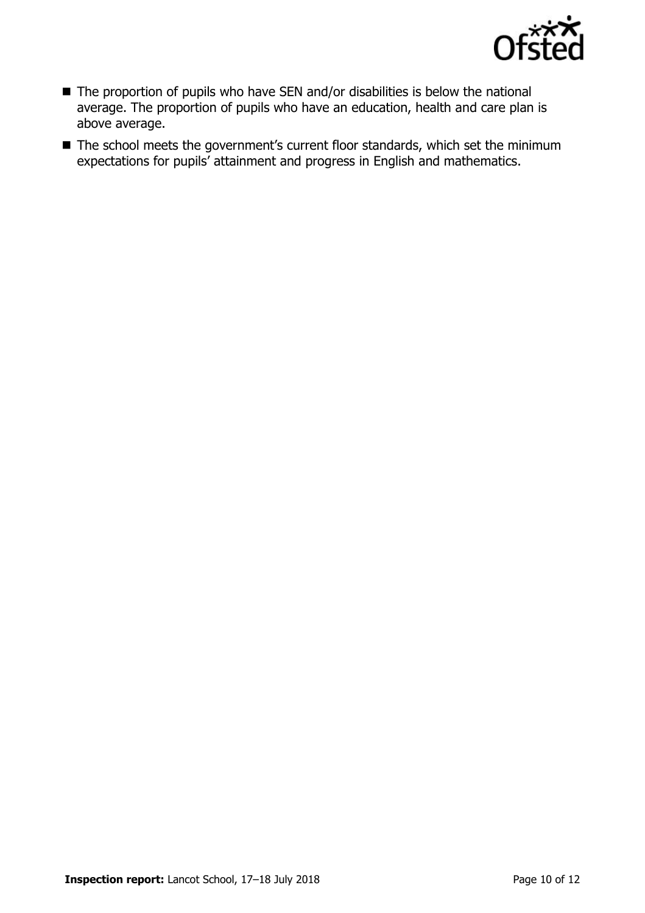

- The proportion of pupils who have SEN and/or disabilities is below the national average. The proportion of pupils who have an education, health and care plan is above average.
- The school meets the government's current floor standards, which set the minimum expectations for pupils' attainment and progress in English and mathematics.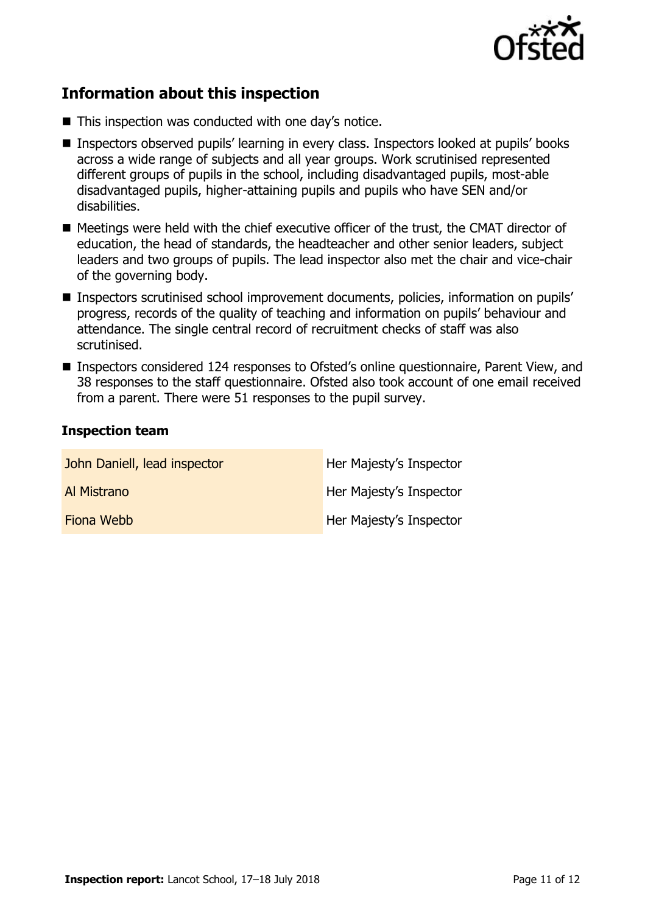

## **Information about this inspection**

- This inspection was conducted with one day's notice.
- Inspectors observed pupils' learning in every class. Inspectors looked at pupils' books across a wide range of subjects and all year groups. Work scrutinised represented different groups of pupils in the school, including disadvantaged pupils, most-able disadvantaged pupils, higher-attaining pupils and pupils who have SEN and/or disabilities.
- Meetings were held with the chief executive officer of the trust, the CMAT director of education, the head of standards, the headteacher and other senior leaders, subject leaders and two groups of pupils. The lead inspector also met the chair and vice-chair of the governing body.
- Inspectors scrutinised school improvement documents, policies, information on pupils' progress, records of the quality of teaching and information on pupils' behaviour and attendance. The single central record of recruitment checks of staff was also scrutinised.
- Inspectors considered 124 responses to Ofsted's online questionnaire, Parent View, and 38 responses to the staff questionnaire. Ofsted also took account of one email received from a parent. There were 51 responses to the pupil survey.

#### **Inspection team**

| John Daniell, lead inspector | Her Majesty's Inspector |
|------------------------------|-------------------------|
| Al Mistrano                  | Her Majesty's Inspector |
| Fiona Webb                   | Her Majesty's Inspector |